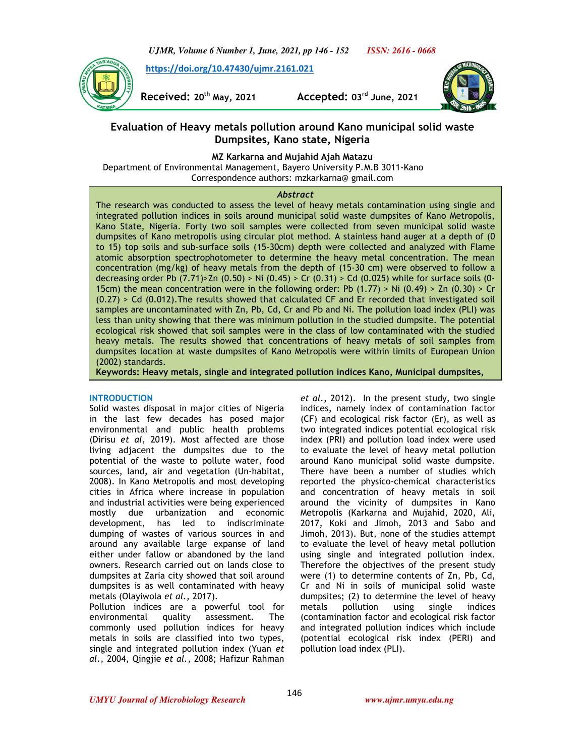*UJMR, Volume 6 Number 1, June, 2021, pp 146 - 152 ISSN: 2616 - 0668*

 **https://doi.org/10.47430/ujmr.2161.021**



**Received: 20th May, 2021 Accepted: 03rd June, 2021** 



## **Evaluation of Heavy metals pollution around Kano municipal solid waste Dumpsites, Kano state, Nigeria**

**MZ Karkarna and Mujahid Ajah Matazu** 

 Department of Environmental Management, Bayero University P.M.B 3011-Kano Correspondence authors: mzkarkarna@ gmail.com

### *Abstract*

The research was conducted to assess the level of heavy metals contamination using single and integrated pollution indices in soils around municipal solid waste dumpsites of Kano Metropolis, Kano State, Nigeria. Forty two soil samples were collected from seven municipal solid waste dumpsites of Kano metropolis using circular plot method. A stainless hand auger at a depth of (0 to 15) top soils and sub-surface soils (15-30cm) depth were collected and analyzed with Flame atomic absorption spectrophotometer to determine the heavy metal concentration. The mean concentration (mg/kg) of heavy metals from the depth of (15-30 cm) were observed to follow a decreasing order Pb  $(7.71)$   $>$  Zn  $(0.50)$   $>$  Ni  $(0.45)$   $>$  Cr  $(0.31)$   $>$  Cd  $(0.025)$  while for surface soils  $(0-$ 15cm) the mean concentration were in the following order: Pb (1.77) > Ni (0.49) > Zn (0.30) > Cr (0.27) > Cd (0.012).The results showed that calculated CF and Er recorded that investigated soil samples are uncontaminated with Zn, Pb, Cd, Cr and Pb and Ni. The pollution load index (PLI) was less than unity showing that there was minimum pollution in the studied dumpsite. The potential ecological risk showed that soil samples were in the class of low contaminated with the studied heavy metals. The results showed that concentrations of heavy metals of soil samples from dumpsites location at waste dumpsites of Kano Metropolis were within limits of European Union (2002) standards.

**Keywords: Heavy metals, single and integrated pollution indices Kano, Municipal dumpsites,**

## **INTRODUCTION**

Solid wastes disposal in major cities of Nigeria in the last few decades has posed major environmental and public health problems (Dirisu *et al,* 2019). Most affected are those living adjacent the dumpsites due to the potential of the waste to pollute water, food sources, land, air and vegetation (Un-habitat, 2008). In Kano Metropolis and most developing cities in Africa where increase in population and industrial activities were being experienced mostly due urbanization and economic development, has led to indiscriminate dumping of wastes of various sources in and around any available large expanse of land either under fallow or abandoned by the land owners. Research carried out on lands close to dumpsites at Zaria city showed that soil around dumpsites is as well contaminated with heavy metals (Olayiwola *et al.,* 2017).

Pollution indices are a powerful tool for environmental quality assessment. The commonly used pollution indices for heavy metals in soils are classified into two types, single and integrated pollution index (Yuan *et al*., 2004, Qingjie *et al.*, 2008; Hafizur Rahman *et al*., 2012). In the present study, two single indices, namely index of contamination factor (CF) and ecological risk factor (Er), as well as two integrated indices potential ecological risk index (PRI) and pollution load index were used to evaluate the level of heavy metal pollution around Kano municipal solid waste dumpsite. There have been a number of studies which reported the physico-chemical characteristics and concentration of heavy metals in soil around the vicinity of dumpsites in Kano Metropolis (Karkarna and Mujahid, 2020, Ali, 2017, Koki and Jimoh, 2013 and Sabo and Jimoh, 2013). But, none of the studies attempt to evaluate the level of heavy metal pollution using single and integrated pollution index. Therefore the objectives of the present study were (1) to determine contents of Zn, Pb, Cd, Cr and Ni in soils of municipal solid waste dumpsites; (2) to determine the level of heavy metals pollution using single indices (contamination factor and ecological risk factor and integrated pollution indices which include (potential ecological risk index (PERI) and pollution load index (PLI).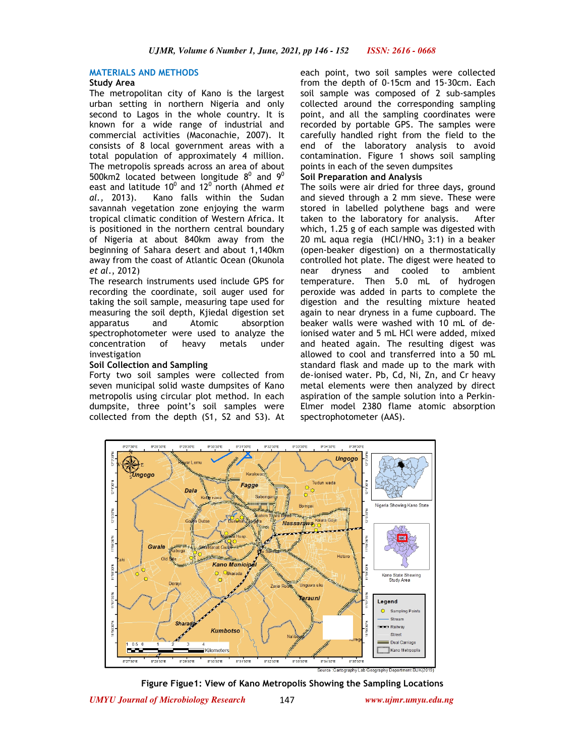#### **MATERIALS AND METHODS**

## **Study Area**

The metropolitan city of Kano is the largest urban setting in northern Nigeria and only second to Lagos in the whole country. It is known for a wide range of industrial and commercial activities (Maconachie, 2007). It consists of 8 local government areas with a total population of approximately 4 million. The metropolis spreads across an area of about 500km2 located between longitude  $8^0$  and  $9^0$ east and latitude 10<sup>0</sup> and 12<sup>0</sup> north (Ahmed *et al.,* 2013). Kano falls within the Sudan savannah vegetation zone enjoying the warm tropical climatic condition of Western Africa. It is positioned in the northern central boundary of Nigeria at about 840km away from the beginning of Sahara desert and about 1,140km away from the coast of Atlantic Ocean (Okunola *et al*., 2012)

The research instruments used include GPS for recording the coordinate, soil auger used for taking the soil sample, measuring tape used for measuring the soil depth, Kjiedal digestion set apparatus and Atomic absorption spectrophotometer were used to analyze the concentration of heavy metals under investigation

#### **Soil Collection and Sampling**

Forty two soil samples were collected from seven municipal solid waste dumpsites of Kano metropolis using circular plot method. In each dumpsite, three point's soil samples were collected from the depth (S1, S2 and S3). At each point, two soil samples were collected from the depth of 0-15cm and 15-30cm. Each soil sample was composed of 2 sub-samples collected around the corresponding sampling point, and all the sampling coordinates were recorded by portable GPS. The samples were carefully handled right from the field to the end of the laboratory analysis to avoid contamination. Figure 1 shows soil sampling points in each of the seven dumpsites

#### **Soil Preparation and Analysis**

The soils were air dried for three days, ground and sieved through a 2 mm sieve. These were stored in labelled polythene bags and were taken to the laboratory for analysis. After which, 1.25 g of each sample was digested with 20 mL aqua regia  $(HCl/HNO<sub>3</sub> 3:1)$  in a beaker (open-beaker digestion) on a thermostatically controlled hot plate. The digest were heated to near dryness and cooled to ambient temperature. Then 5.0 mL of hydrogen peroxide was added in parts to complete the digestion and the resulting mixture heated again to near dryness in a fume cupboard. The beaker walls were washed with 10 mL of deionised water and 5 mL HCl were added, mixed and heated again. The resulting digest was allowed to cool and transferred into a 50 mL standard flask and made up to the mark with de-ionised water. Pb, Cd, Ni, Zn, and Cr heavy metal elements were then analyzed by direct aspiration of the sample solution into a Perkin-Elmer model 2380 flame atomic absorption spectrophotometer (AAS).



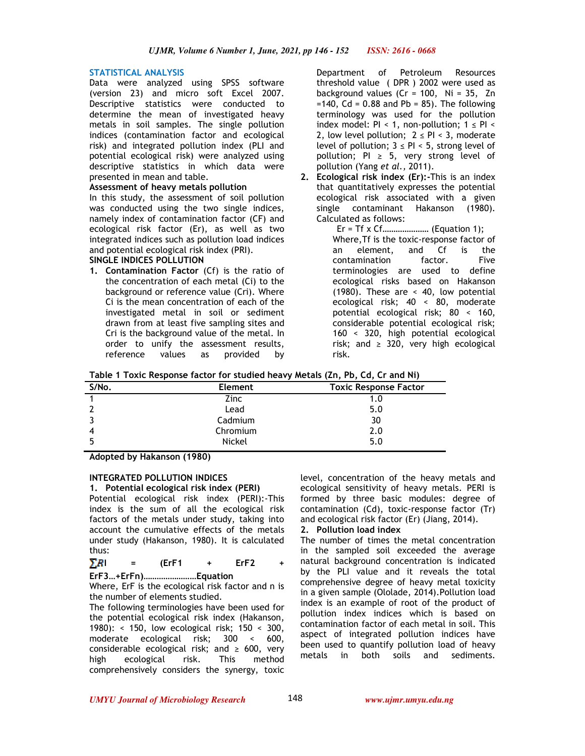## **STATISTICAL ANALYSIS**

Data were analyzed using SPSS software (version 23) and micro soft Excel 2007. Descriptive statistics were conducted to determine the mean of investigated heavy metals in soil samples. The single pollution indices (contamination factor and ecological risk) and integrated pollution index (PLI and potential ecological risk) were analyzed using descriptive statistics in which data were presented in mean and table.

### **Assessment of heavy metals pollution**

In this study, the assessment of soil pollution was conducted using the two single indices, namely index of contamination factor (CF) and ecological risk factor (Er), as well as two integrated indices such as pollution load indices and potential ecological risk index (PRI).

## **SINGLE INDICES POLLUTION**

**1. Contamination Factor** (Cf) is the ratio of the concentration of each metal (Ci) to the background or reference value (Cri). Where Ci is the mean concentration of each of the investigated metal in soil or sediment drawn from at least five sampling sites and Cri is the background value of the metal. In order to unify the assessment results, reference values as provided by

Department of Petroleum Resources threshold value ( DPR ) 2002 were used as background values  $(Cr = 100, Ni = 35, Zn$  $=140$ , Cd = 0.88 and Pb = 85). The following terminology was used for the pollution index model: PI < 1, non-pollution;  $1 \leq$  PI < 2, low level pollution;  $2 \leq Pl \leq 3$ , moderate level of pollution;  $3 \leq P1 \leq 5$ , strong level of pollution; PI  $\geq$  5, very strong level of pollution (Yang *et al.,* 2011).

- **2. Ecological risk index (Er):-**This is an index that quantitatively expresses the potential ecological risk associated with a given single contaminant Hakanson (1980). Calculated as follows:
	- Er = Tf x Cf………………… (Equation 1); Where,Tf is the toxic-response factor of an element, and Cf is the contamination factor. Five terminologies are used to define ecological risks based on Hakanson (1980). These are < 40, low potential ecological risk; 40 < 80, moderate potential ecological risk; 80 < 160, considerable potential ecological risk; 160 < 320, high potential ecological risk; and  $\geq$  320, very high ecological risk.

| Table 1 Toxic Response factor for studied heavy Metals (Zn, Pb, Cd, Cr and Ni) |
|--------------------------------------------------------------------------------|
|--------------------------------------------------------------------------------|

| S/No. | <b>Element</b> | <b>Toxic Response Factor</b> |
|-------|----------------|------------------------------|
|       | Zinc           | 1.0                          |
|       | Lead           | 5.0                          |
|       | Cadmium        | 30                           |
|       | Chromium       | 2.0                          |
|       | <b>Nickel</b>  | 5.0                          |
|       |                |                              |

**Adopted by Hakanson (1980)** 

## **INTEGRATED POLLUTION INDICES**

**1. Potential ecological risk index (PERI)**  Potential ecological risk index (PERI):-This index is the sum of all the ecological risk factors of the metals under study, taking into account the cumulative effects of the metals under study (Hakanson, 1980). It is calculated thus:

# $\sum R$ **I** = (ErF1 + ErF2

**ErF3…+ErFn)……………………Equation** 

Where, ErF is the ecological risk factor and n is the number of elements studied.

The following terminologies have been used for the potential ecological risk index (Hakanson, 1980): < 150, low ecological risk; 150 < 300, moderate ecological risk; 300 < 600, considerable ecological risk; and  $\geq$  600, very high ecological risk. This method comprehensively considers the synergy, toxic

level, concentration of the heavy metals and ecological sensitivity of heavy metals. PERI is formed by three basic modules: degree of contamination (Cd), toxic-response factor (Tr) and ecological risk factor (Er) (Jiang, 2014).

## **2. Pollution load index**

The number of times the metal concentration in the sampled soil exceeded the average natural background concentration is indicated by the PLI value and it reveals the total comprehensive degree of heavy metal toxicity in a given sample (Ololade, 2014).Pollution load index is an example of root of the product of pollution index indices which is based on contamination factor of each metal in soil. This aspect of integrated pollution indices have been used to quantify pollution load of heavy metals in both soils and sediments.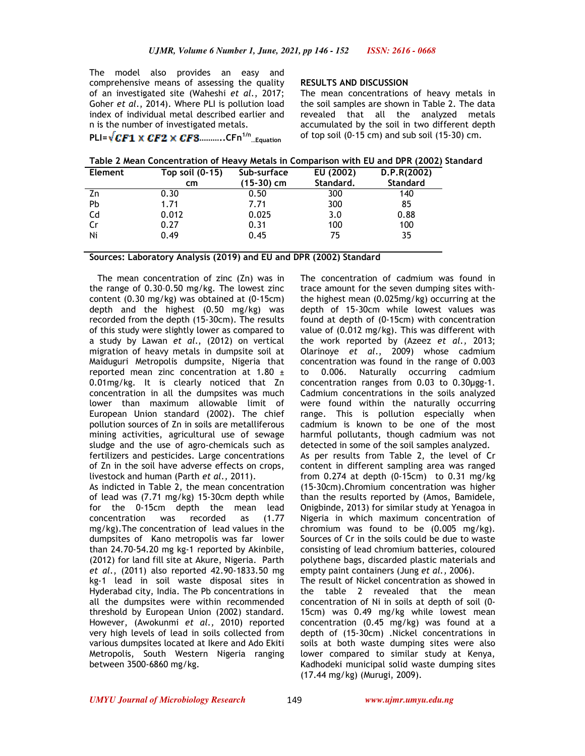The model also provides an easy and comprehensive means of assessing the quality of an investigated site (Waheshi *et al*., 2017; Goher *et al*., 2014). Where PLI is pollution load index of individual metal described earlier and n is the number of investigated metals.

**PLI= ………..CFn1/n …Equation**

**RESULTS AND DISCUSSION** 

The mean concentrations of heavy metals in the soil samples are shown in Table 2. The data revealed that all the analyzed metals accumulated by the soil in two different depth of top soil (0-15 cm) and sub soil (15-30) cm.

| Table 2 Mean Concentration of Heavy Metals in Comparison with EU and DPR (2002) Standard |  |  |  |  |
|------------------------------------------------------------------------------------------|--|--|--|--|
|------------------------------------------------------------------------------------------|--|--|--|--|

| Element | Top soil $(0-15)$ | Sub-surface | EU (2002) | D.P.R(2002)     |
|---------|-------------------|-------------|-----------|-----------------|
|         | cm                | (15-30) cm  | Standard. | <b>Standard</b> |
| Zn      | 0.30              | 0.50        | 300       | 140             |
| Pb      | 1.71              | 7.71        | 300       | 85              |
| Cd      | 0.012             | 0.025       | 3.0       | 0.88            |
| Cr      | 0.27              | 0.31        | 100       | 100             |
| Ni      | 0.49              | 0.45        | 75        | 35              |

**Sources: Laboratory Analysis (2019) and EU and DPR (2002) Standard** 

 The mean concentration of zinc (Zn) was in the range of 0.30–0.50 mg/kg. The lowest zinc content (0.30 mg/kg) was obtained at (0-15cm) depth and the highest (0.50 mg/kg) was recorded from the depth (15-30cm). The results of this study were slightly lower as compared to a study by Lawan *et al*., (2012) on vertical migration of heavy metals in dumpsite soil at Maiduguri Metropolis dumpsite, Nigeria that reported mean zinc concentration at 1.80 ± 0.01mg/kg. It is clearly noticed that Zn concentration in all the dumpsites was much lower than maximum allowable limit of European Union standard (2002). The chief pollution sources of Zn in soils are metalliferous mining activities, agricultural use of sewage sludge and the use of agro-chemicals such as fertilizers and pesticides. Large concentrations of Zn in the soil have adverse effects on crops, livestock and human (Parth *et al.,* 2011).

As indicted in Table 2, the mean concentration of lead was (7.71 mg/kg) 15-30cm depth while for the 0-15cm depth the mean lead concentration was recorded as (1.77 mg/kg).The concentration of lead values in the dumpsites of Kano metropolis was far lower than 24.70-54.20 mg kg-1 reported by Akinbile, (2012) for land fill site at Akure, Nigeria. Parth *et al.*, (2011) also reported 42.90-1833.50 mg kg-1 lead in soil waste disposal sites in Hyderabad city, India. The Pb concentrations in all the dumpsites were within recommended threshold by European Union (2002) standard. However, (Awokunmi *et al.,* 2010) reported very high levels of lead in soils collected from various dumpsites located at Ikere and Ado Ekiti Metropolis, South Western Nigeria ranging between 3500-6860 mg/kg.

The concentration of cadmium was found in trace amount for the seven dumping sites withthe highest mean (0.025mg/kg) occurring at the depth of 15-30cm while lowest values was found at depth of (0-15cm) with concentration value of (0.012 mg/kg). This was different with the work reported by (Azeez *et al.,* 2013; Olarinoye *et al*., 2009) whose cadmium concentration was found in the range of 0.003 to 0.006. Naturally occurring cadmium concentration ranges from 0.03 to 0.30µgg-1. Cadmium concentrations in the soils analyzed were found within the naturally occurring range. This is pollution especially when cadmium is known to be one of the most harmful pollutants, though cadmium was not detected in some of the soil samples analyzed. As per results from Table 2, the level of Cr content in different sampling area was ranged from 0.274 at depth (0-15cm) to 0.31 mg/kg (15-30cm).Chromium concentration was higher than the results reported by (Amos, Bamidele, Onigbinde, 2013) for similar study at Yenagoa in Nigeria in which maximum concentration of chromium was found to be (0.005 mg/kg). Sources of Cr in the soils could be due to waste consisting of lead chromium batteries, coloured polythene bags, discarded plastic materials and empty paint containers (Jung *et al.,* 2006).

The result of Nickel concentration as showed in the table 2 revealed that the mean concentration of Ni in soils at depth of soil (0- 15cm) was 0.49 mg/kg while lowest mean concentration (0.45 mg/kg) was found at a depth of (15-30cm) .Nickel concentrations in soils at both waste dumping sites were also lower compared to similar study at Kenya, Kadhodeki municipal solid waste dumping sites (17.44 mg/kg) (Murugi, 2009).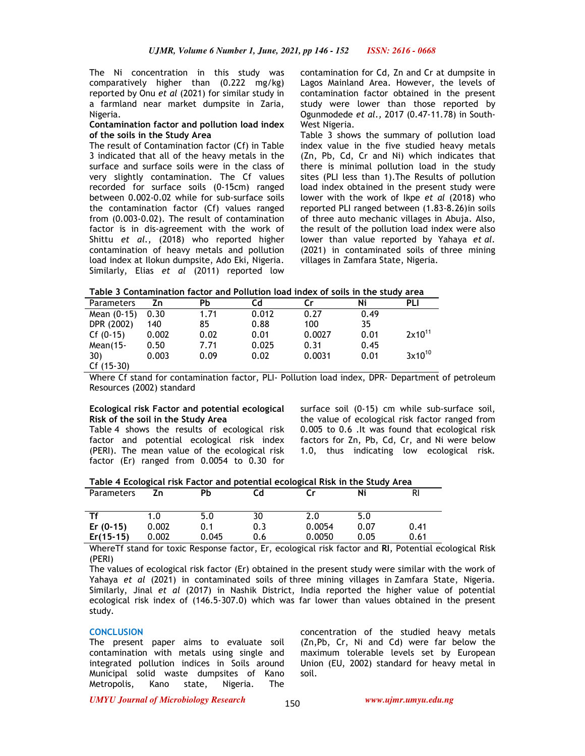The Ni concentration in this study was comparatively higher than (0.222 mg/kg) reported by Onu *et al* (2021) for similar study in a farmland near market dumpsite in Zaria, Nigeria.

### **Contamination factor and pollution load index of the soils in the Study Area**

The result of Contamination factor (Cf) in Table 3 indicated that all of the heavy metals in the surface and surface soils were in the class of very slightly contamination. The Cf values recorded for surface soils (0-15cm) ranged between 0.002-0.02 while for sub-surface soils the contamination factor (Cf) values ranged from (0.003-0.02). The result of contamination factor is in dis-agreement with the work of Shittu *et al.,* (2018) who reported higher contamination of heavy metals and pollution load index at Ilokun dumpsite, Ado Eki, Nigeria. Similarly, Elias *et al* (2011) reported low contamination for Cd, Zn and Cr at dumpsite in Lagos Mainland Area. However, the levels of contamination factor obtained in the present study were lower than those reported by Ogunmodede *et al.,* 2017 (0.47-11.78) in South-West Nigeria.

Table 3 shows the summary of pollution load index value in the five studied heavy metals (Zn, Pb, Cd, Cr and Ni) which indicates that there is minimal pollution load in the study sites (PLI less than 1).The Results of pollution load index obtained in the present study were lower with the work of Ikpe *et al* (2018) who reported PLI ranged between (1.83-8.26)in soils of three auto mechanic villages in Abuja. Also, the result of the pollution load index were also lower than value reported by Yahaya *et al.* (2021) in contaminated soils of three mining villages in Zamfara State, Nigeria.

|  |  |  |  |  |  | Table 3 Contamination factor and Pollution load index of soils in the study area |
|--|--|--|--|--|--|----------------------------------------------------------------------------------|
|--|--|--|--|--|--|----------------------------------------------------------------------------------|

| <b>Parameters</b> | Zn    | PЬ   | Cd    | Cr     | Ni   | PLI         |
|-------------------|-------|------|-------|--------|------|-------------|
| Mean (0-15)       | 0.30  | 1.71 | 0.012 | 0.27   | 0.49 |             |
| DPR (2002)        | 140   | 85   | 0.88  | 100    | 35   |             |
| $Cf(0-15)$        | 0.002 | 0.02 | 0.01  | 0.0027 | 0.01 | $2x10^{11}$ |
| Mean $(15-$       | 0.50  | 7.71 | 0.025 | 0.31   | 0.45 |             |
| 30)               | 0.003 | 0.09 | 0.02  | 0.0031 | 0.01 | $3x10^{10}$ |
| Cf (15-30)        |       |      |       |        |      |             |

Where Cf stand for contamination factor, PLI- Pollution load index, DPR- Department of petroleum Resources (2002) standard

## **Ecological risk Factor and potential ecological Risk of the soil in the Study Area**

Table 4 shows the results of ecological risk factor and potential ecological risk index (PERI). The mean value of the ecological risk factor (Er) ranged from 0.0054 to 0.30 for surface soil (0-15) cm while sub-surface soil, the value of ecological risk factor ranged from 0.005 to 0.6 .It was found that ecological risk factors for Zn, Pb, Cd, Cr, and Ni were below 1.0, thus indicating low ecological risk.

| Table 4 Ecological risk Factor and potential ecological Risk in the Study Area |  |  |
|--------------------------------------------------------------------------------|--|--|
|                                                                                |  |  |

| <b>Parameters</b> | Zn    | Pb    | Cd  |        | Ni   | RI   |
|-------------------|-------|-------|-----|--------|------|------|
| Τf                | 1.0   | 5.0   | 30  | 2.0    | 5.0  |      |
| Er $(0-15)$       | 0.002 | 0.1   | 0.3 | 0.0054 | 0.07 | 0.41 |
| $Er(15-15)$       | 0.002 | 0.045 | 0.6 | 0.0050 | 0.05 | 0.61 |

WhereTf stand for toxic Response factor, Er, ecological risk factor and **RI**, Potential ecological Risk (PERI)

The values of ecological risk factor (Er) obtained in the present study were similar with the work of Yahaya *et al* (2021) in contaminated soils of three mining villages in Zamfara State, Nigeria. Similarly, Jinal *et al* (2017) in Nashik District, India reported the higher value of potential ecological risk index of (146.5-307.0) which was far lower than values obtained in the present study.

#### **CONCLUSION**

The present paper aims to evaluate soil contamination with metals using single and integrated pollution indices in Soils around Municipal solid waste dumpsites of Kano Metropolis, Kano state, Nigeria. The

concentration of the studied heavy metals (Zn,Pb, Cr, Ni and Cd) were far below the maximum tolerable levels set by European Union (EU, 2002) standard for heavy metal in soil.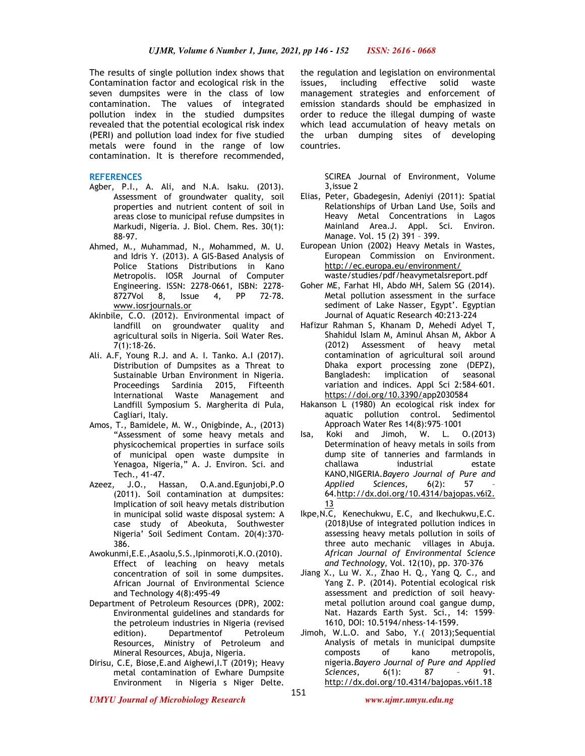The results of single pollution index shows that Contamination factor and ecological risk in the seven dumpsites were in the class of low contamination. The values of integrated pollution index in the studied dumpsites revealed that the potential ecological risk index (PERI) and pollution load index for five studied metals were found in the range of low contamination. It is therefore recommended,

#### **REFERENCES**

- Agber, P.I., A. Ali, and N.A. Isaku. (2013). Assessment of groundwater quality, soil properties and nutrient content of soil in areas close to municipal refuse dumpsites in Markudi, Nigeria. J. Biol. Chem. Res. 30(1): 88-97.
- Ahmed, M., Muhammad, N., Mohammed, M. U. and Idris Y. (2013). A GIS-Based Analysis of Police Stations Distributions in Kano Metropolis. IOSR Journal of Computer Engineering. ISSN: 2278-0661, ISBN: 2278- 8727Vol 8, Issue 4, PP 72-78. www.iosrjournals.or
- Akinbile, C.O. (2012). Environmental impact of landfill on groundwater quality and agricultural soils in Nigeria. Soil Water Res. 7(1):18-26.
- Ali. A.F, Young R.J. and A. I. Tanko. A.I (2017). Distribution of Dumpsites as a Threat to Sustainable Urban Environment in Nigeria. Proceedings Sardinia 2015, Fifteenth International Waste Management and Landfill Symposium S. Margherita di Pula, Cagliari, Italy.
- Amos, T., Bamidele, M. W., Onigbinde, A., (2013) "Assessment of some heavy metals and physicochemical properties in surface soils of municipal open waste dumpsite in Yenagoa, Nigeria," A. J. Environ. Sci. and Tech., 41-47.<br>Azeez, J.O., Ha
- J.O., Hassan, O.A.and.Egunjobi, P.O. (2011). Soil contamination at dumpsites: Implication of soil heavy metals distribution in municipal solid waste disposal system: A case study of Abeokuta, Southwester Nigeria' Soil Sediment Contam. 20(4):370- 386.
- Awokunmi,E.E.,Asaolu,S.S.,Ipinmoroti,K.O.(2010). Effect of leaching on heavy metals concentration of soil in some dumpsites. African Journal of Environmental Science and Technology 4(8):495-49
- Department of Petroleum Resources (DPR), 2002: Environmental guidelines and standards for the petroleum industries in Nigeria (revised edition). Departmentof Petroleum Resources, Ministry of Petroleum and Mineral Resources, Abuja, Nigeria.
- Dirisu, C.E, Biose,E.and Aighewi,I.T (2019); Heavy metal contamination of Ewhare Dumpsite Environment in Nigeria s Niger Delte.

the regulation and legislation on environmental issues, including effective solid waste management strategies and enforcement of emission standards should be emphasized in order to reduce the illegal dumping of waste which lead accumulation of heavy metals on the urban dumping sites of developing countries.

> SCIREA Journal of Environment, Volume 3,issue 2

- Elias, Peter, Gbadegesin, Adeniyi (2011): Spatial Relationships of Urban Land Use, Soils and Heavy Metal Concentrations in Lagos Mainland Area.J. Appl. Sci. Environ. Manage. Vol. 15 (2) 391 – 399.
- European Union (2002) Heavy Metals in Wastes, European Commission on Environment. http://ec.europa.eu/environment/ waste/studies/pdf/heavymetalsreport.pdf
- Goher ME, Farhat HI, Abdo MH, Salem SG (2014). Metal pollution assessment in the surface sediment of Lake Nasser, Egypt'. Egyptian Journal of Aquatic Research 40:213-224
- Hafizur Rahman S, Khanam D, Mehedi Adyel T, Shahidul Islam M, Aminul Ahsan M, Akbor A (2012) Assessment of heavy metal contamination of agricultural soil around Dhaka export processing zone (DEPZ), Bangladesh: implication of seasonal variation and indices. Appl Sci 2:584–601. https://doi.org/10.3390/app2030584
- Hakanson L (1980) An ecological risk index for aquatic pollution control. Sedimentol Approach Water Res 14(8):975–1001
- Isa, Koki and Jimoh, W. L. O.(2013) Determination of heavy metals in soils from dump site of tanneries and farmlands in challawa industrial estate KANO,NIGERIA.*Bayero Journal of Pure and Applied Sciences,* 6(2): 57 – 64.http://dx.doi.org/10.4314/bajopas.v6i2. 13
- Ikpe,N.C, Kenechukwu, E.C, and Ikechukwu,E.C. (2018)Use of integrated pollution indices in assessing heavy metals pollution in soils of three auto mechanic villages in Abuja. *African Journal of Environmental Science and Technology,* Vol. 12(10), pp. 370-376
- Jiang X., Lu W. X., Zhao H. Q., Yang Q. C., and Yang Z. P. (2014). Potential ecological risk assessment and prediction of soil heavymetal pollution around coal gangue dump, Nat. Hazards Earth Syst. Sci., 14: 1599– 1610, DOI: 10.5194/nhess-14-1599.
- Jimoh, W.L.O. and Sabo, Y.( 2013);Sequential Analysis of metals in municipal dumpsite composts of kano metropolis, nigeria.*Bayero Journal of Pure and Applied Sciences*, 6(1): 87 http://dx.doi.org/10.4314/bajopas.v6i1.18

*UMYU Journal of Microbiology Research www.ujmr.umyu.edu.ng*